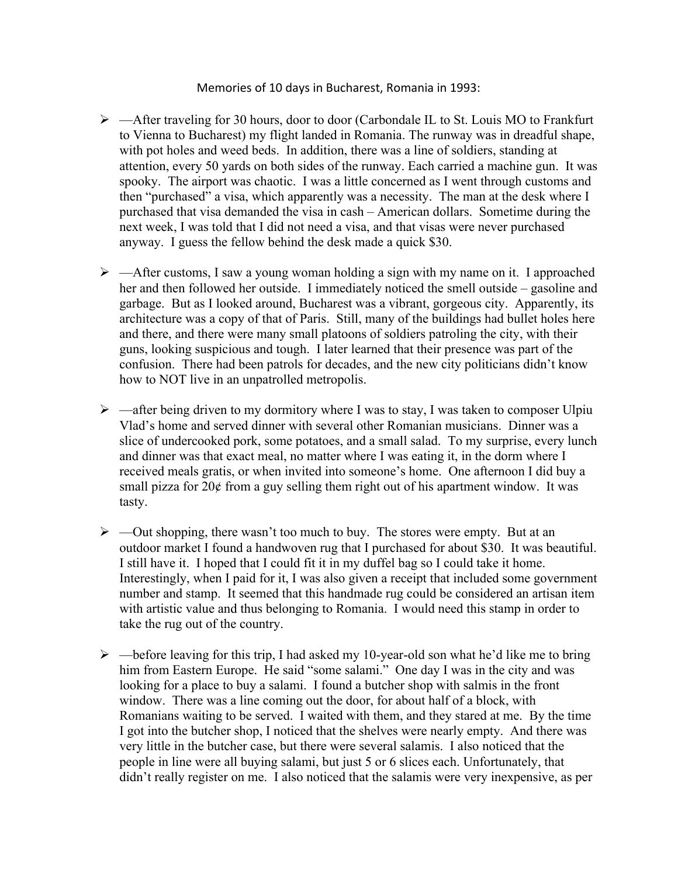## Memories of 10 days in Bucharest, Romania in 1993:

- $\triangleright$  —After traveling for 30 hours, door to door (Carbondale IL to St. Louis MO to Frankfurt to Vienna to Bucharest) my flight landed in Romania. The runway was in dreadful shape, with pot holes and weed beds. In addition, there was a line of soldiers, standing at attention, every 50 yards on both sides of the runway. Each carried a machine gun. It was spooky. The airport was chaotic. I was a little concerned as I went through customs and then "purchased" a visa, which apparently was a necessity. The man at the desk where I purchased that visa demanded the visa in cash – American dollars. Sometime during the next week, I was told that I did not need a visa, and that visas were never purchased anyway. I guess the fellow behind the desk made a quick \$30.
- $\triangleright$  —After customs, I saw a young woman holding a sign with my name on it. I approached her and then followed her outside. I immediately noticed the smell outside – gasoline and garbage. But as I looked around, Bucharest was a vibrant, gorgeous city. Apparently, its architecture was a copy of that of Paris. Still, many of the buildings had bullet holes here and there, and there were many small platoons of soldiers patroling the city, with their guns, looking suspicious and tough. I later learned that their presence was part of the confusion. There had been patrols for decades, and the new city politicians didn't know how to NOT live in an unpatrolled metropolis.
- $\triangleright$  —after being driven to my dormitory where I was to stay, I was taken to composer Ulpiu Vlad's home and served dinner with several other Romanian musicians. Dinner was a slice of undercooked pork, some potatoes, and a small salad. To my surprise, every lunch and dinner was that exact meal, no matter where I was eating it, in the dorm where I received meals gratis, or when invited into someone's home. One afternoon I did buy a small pizza for 20¢ from a guy selling them right out of his apartment window. It was tasty.
- $\triangleright$  —Out shopping, there wasn't too much to buy. The stores were empty. But at an outdoor market I found a handwoven rug that I purchased for about \$30. It was beautiful. I still have it. I hoped that I could fit it in my duffel bag so I could take it home. Interestingly, when I paid for it, I was also given a receipt that included some government number and stamp. It seemed that this handmade rug could be considered an artisan item with artistic value and thus belonging to Romania. I would need this stamp in order to take the rug out of the country.
- $\triangleright$  —before leaving for this trip, I had asked my 10-year-old son what he'd like me to bring him from Eastern Europe. He said "some salami." One day I was in the city and was looking for a place to buy a salami. I found a butcher shop with salmis in the front window. There was a line coming out the door, for about half of a block, with Romanians waiting to be served. I waited with them, and they stared at me. By the time I got into the butcher shop, I noticed that the shelves were nearly empty. And there was very little in the butcher case, but there were several salamis. I also noticed that the people in line were all buying salami, but just 5 or 6 slices each. Unfortunately, that didn't really register on me. I also noticed that the salamis were very inexpensive, as per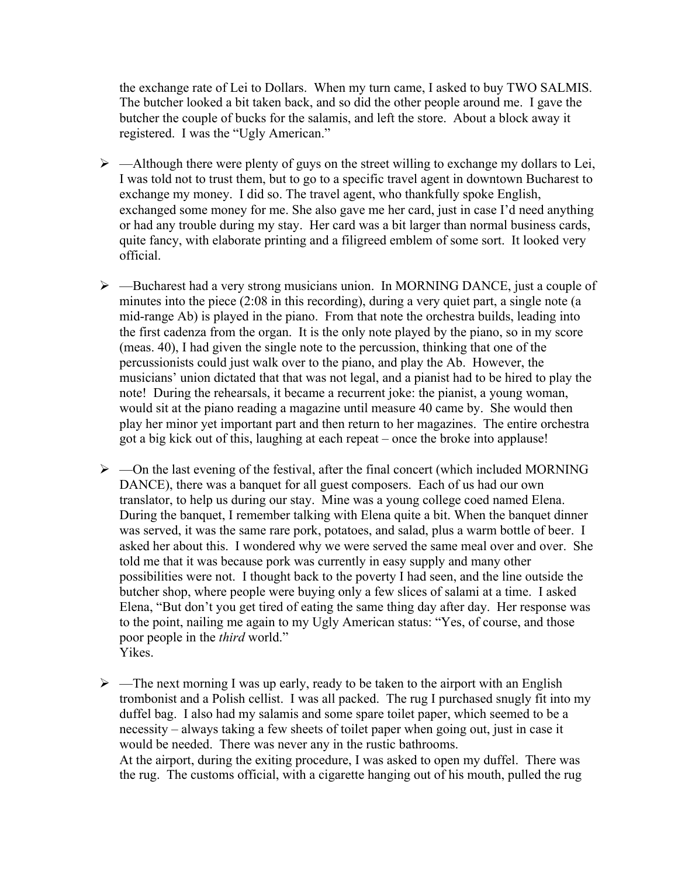the exchange rate of Lei to Dollars. When my turn came, I asked to buy TWO SALMIS. The butcher looked a bit taken back, and so did the other people around me. I gave the butcher the couple of bucks for the salamis, and left the store. About a block away it registered. I was the "Ugly American."

- $\triangleright$  —Although there were plenty of guys on the street willing to exchange my dollars to Lei, I was told not to trust them, but to go to a specific travel agent in downtown Bucharest to exchange my money. I did so. The travel agent, who thankfully spoke English, exchanged some money for me. She also gave me her card, just in case I'd need anything or had any trouble during my stay. Her card was a bit larger than normal business cards, quite fancy, with elaborate printing and a filigreed emblem of some sort. It looked very official.
- $\triangleright$  —Bucharest had a very strong musicians union. In MORNING DANCE, just a couple of minutes into the piece (2:08 in this recording), during a very quiet part, a single note (a mid-range Ab) is played in the piano. From that note the orchestra builds, leading into the first cadenza from the organ. It is the only note played by the piano, so in my score (meas. 40), I had given the single note to the percussion, thinking that one of the percussionists could just walk over to the piano, and play the Ab. However, the musicians' union dictated that that was not legal, and a pianist had to be hired to play the note! During the rehearsals, it became a recurrent joke: the pianist, a young woman, would sit at the piano reading a magazine until measure 40 came by. She would then play her minor yet important part and then return to her magazines. The entire orchestra got a big kick out of this, laughing at each repeat – once the broke into applause!
- $\triangleright$  —On the last evening of the festival, after the final concert (which included MORNING DANCE), there was a banquet for all guest composers. Each of us had our own translator, to help us during our stay. Mine was a young college coed named Elena. During the banquet, I remember talking with Elena quite a bit. When the banquet dinner was served, it was the same rare pork, potatoes, and salad, plus a warm bottle of beer. I asked her about this. I wondered why we were served the same meal over and over. She told me that it was because pork was currently in easy supply and many other possibilities were not. I thought back to the poverty I had seen, and the line outside the butcher shop, where people were buying only a few slices of salami at a time. I asked Elena, "But don't you get tired of eating the same thing day after day. Her response was to the point, nailing me again to my Ugly American status: "Yes, of course, and those poor people in the *third* world." Yikes.
- $\triangleright$  —The next morning I was up early, ready to be taken to the airport with an English trombonist and a Polish cellist. I was all packed. The rug I purchased snugly fit into my duffel bag. I also had my salamis and some spare toilet paper, which seemed to be a necessity – always taking a few sheets of toilet paper when going out, just in case it would be needed. There was never any in the rustic bathrooms. At the airport, during the exiting procedure, I was asked to open my duffel. There was the rug. The customs official, with a cigarette hanging out of his mouth, pulled the rug